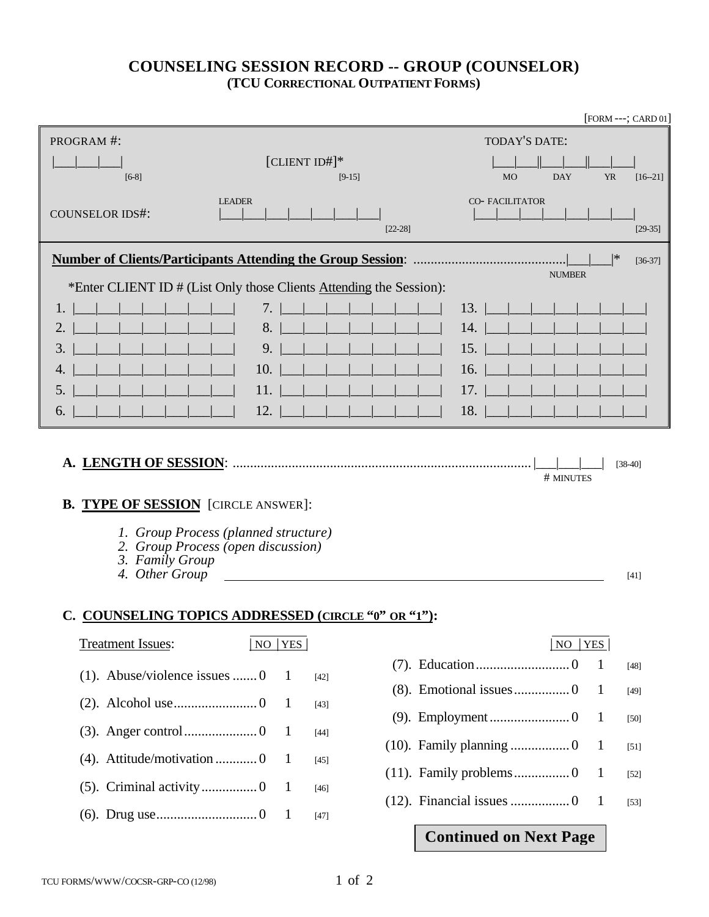## **COUNSELING SESSION RECORD -- GROUP (COUNSELOR) (TCU CORRECTIONAL OUTPATIENT FORMS)**

|                                                                                 |                                                                            | [FORM ---; CARD 01]                                 |  |  |  |
|---------------------------------------------------------------------------------|----------------------------------------------------------------------------|-----------------------------------------------------|--|--|--|
| PROGRAM #:                                                                      |                                                                            | TODAY'S DATE:                                       |  |  |  |
|                                                                                 | [CLIENT ID#]*                                                              |                                                     |  |  |  |
| $[6-8]$                                                                         | $[9-15]$                                                                   | <b>YR</b><br><b>MO</b><br><b>DAY</b><br>$[16 - 21]$ |  |  |  |
|                                                                                 | <b>LEADER</b>                                                              | <b>CO-FACILITATOR</b>                               |  |  |  |
| <b>COUNSELOR IDS#:</b>                                                          | $[22-28]$                                                                  | $[29-35]$                                           |  |  |  |
|                                                                                 |                                                                            | *                                                   |  |  |  |
| <b>NUMBER</b>                                                                   |                                                                            |                                                     |  |  |  |
|                                                                                 | *Enter CLIENT ID # (List Only those Clients Attending the Session):        |                                                     |  |  |  |
|                                                                                 | 7.                                                                         | 13.                                                 |  |  |  |
| 2.                                                                              | 8.                                                                         | 14.                                                 |  |  |  |
| 3.                                                                              | 9.                                                                         | 15.                                                 |  |  |  |
| 4.                                                                              | 10.                                                                        | 16.                                                 |  |  |  |
| 5.                                                                              | 11.                                                                        | 17.                                                 |  |  |  |
| 6.                                                                              | 12.                                                                        | 18.                                                 |  |  |  |
| <b>B. TYPE OF SESSION</b> [CIRCLE ANSWER]:<br>3. Family Group<br>4. Other Group | 1. Group Process (planned structure)<br>2. Group Process (open discussion) | # MINUTES<br>[41]                                   |  |  |  |
|                                                                                 | C. COUNSELING TOPICS ADDRESSED (CIRCLE "0" OR "1"):                        |                                                     |  |  |  |
| <b>Treatment Issues:</b>                                                        | NO<br> YES                                                                 | NO<br><b>YES</b>                                    |  |  |  |
| $(1)$ . Abuse/violence issues  0                                                |                                                                            | $\mathbf{1}$<br>$[48]$                              |  |  |  |
|                                                                                 | 1<br>$[42]$                                                                | $\mathbf{1}$<br>$[49]$                              |  |  |  |
|                                                                                 | $\mathbf{1}$<br>$[43]$                                                     | $\mathbf{1}$<br>$[50]$                              |  |  |  |
|                                                                                 | 1<br>$[44]$                                                                |                                                     |  |  |  |
| (4). Attitude/motivation 0                                                      | 1<br>$[45]$                                                                | $\mathbf{1}$<br>$[51]$                              |  |  |  |
|                                                                                 | 1<br>$[46]$                                                                | $\mathbf{1}$<br>$[52]$                              |  |  |  |
|                                                                                 | 1                                                                          | $\mathbf{1}$<br>$[53]$                              |  |  |  |
|                                                                                 | [47]                                                                       | <b>Continued on Next Page</b>                       |  |  |  |